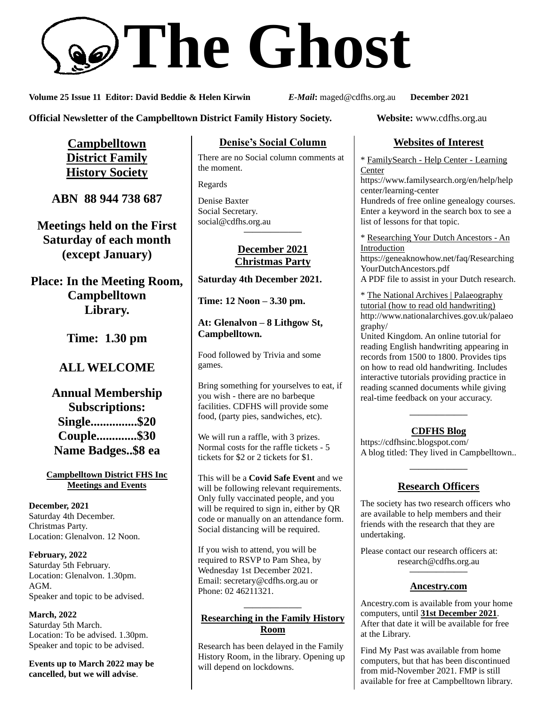# **The Ghost**

**Volume 25 Issue 11 Editor: David Beddie & Helen Kirwin** *E-Mail***:** maged@cdfhs.org.au **December 2021**

**Official Newsletter of the Campbelltown District Family History Society. Website:** www.cdfhs.org.au

**Campbelltown District Family History Society**

**ABN 88 944 738 687**

**Meetings held on the First Saturday of each month (except January)**

**Place: In the Meeting Room, Campbelltown Library.**

**Time: 1.30 pm**

# **ALL WELCOME**

**Annual Membership Subscriptions: Single...............\$20 Couple.............\$30 Name Badges..\$8 ea**

**Campbelltown District FHS Inc Meetings and Events**

**December, 2021** Saturday 4th December. Christmas Party. Location: Glenalvon. 12 Noon.

**February, 2022** Saturday 5th February. Location: Glenalvon. 1.30pm. AGM. Speaker and topic to be advised.

**March, 2022** Saturday 5th March. Location: To be advised. 1.30pm. Speaker and topic to be advised.

**Events up to March 2022 may be cancelled, but we will advise**.

## **Denise's Social Column**

There are no Social column comments at the moment.

Regards

Denise Baxter Social Secretary. [social@cdfhs.org.au](mailto:social@cdfhs.org.au) **——————–**

## **December 2021 Christmas Party**

**Saturday 4th December 2021.**

**Time: 12 Noon – 3.30 pm.**

**At: Glenalvon – 8 Lithgow St, Campbelltown.**

Food followed by Trivia and some games.

Bring something for yourselves to eat, if you wish - there are no barbeque facilities. CDFHS will provide some food, (party pies, sandwiches, etc).

We will run a raffle, with 3 prizes. Normal costs for the raffle tickets - 5 tickets for \$2 or 2 tickets for \$1.

This will be a **Covid Safe Event** and we will be following relevant requirements. Only fully vaccinated people, and you will be required to sign in, either by QR code or manually on an attendance form. Social distancing will be required.

If you wish to attend, you will be required to RSVP to Pam Shea, by Wednesday 1st December 2021. Email: [secretary@cdfhs.org.au](mailto:secretary@cdfhs.org.au) or Phone: 02 46211321.

## **——————– Researching in the Family History Room**

Research has been delayed in the Family History Room, in the library. Opening up will depend on lockdowns.

# **Websites of Interest**

\* FamilySearch - Help Center - Learning Center

https://www.familysearch.org/en/help/help center/learning-center

Hundreds of free online genealogy courses. Enter a keyword in the search box to see a list of lessons for that topic.

\* Researching Your Dutch Ancestors - An Introduction https://geneaknowhow.net/faq/Researching YourDutchAncestors.pdf A PDF file to assist in your Dutch research.

\* The National Archives | Palaeography tutorial (how to read old handwriting) http://www.nationalarchives.gov.uk/palaeo graphy/

United Kingdom. An online tutorial for reading English handwriting appearing in records from 1500 to 1800. Provides tips on how to read old handwriting. Includes interactive tutorials providing practice in reading scanned documents while giving real-time feedback on your accuracy.

# **——————– CDFHS Blog**

https://cdfhsinc.blogspot.com/ A blog titled: They lived in Campbelltown..

# **——————– Research Officers**

The society has two research officers who are available to help members and their friends with the research that they are undertaking.

Please contact our research officers at: research@cdfhs.org.au

# **——————– Ancestry.com**

Ancestry.com is available from your home computers, until **31st December 2021**. After that date it will be available for free at the Library.

Find My Past was available from home computers, but that has been discontinued from mid-November 2021. FMP is still available for free at Campbelltown library.